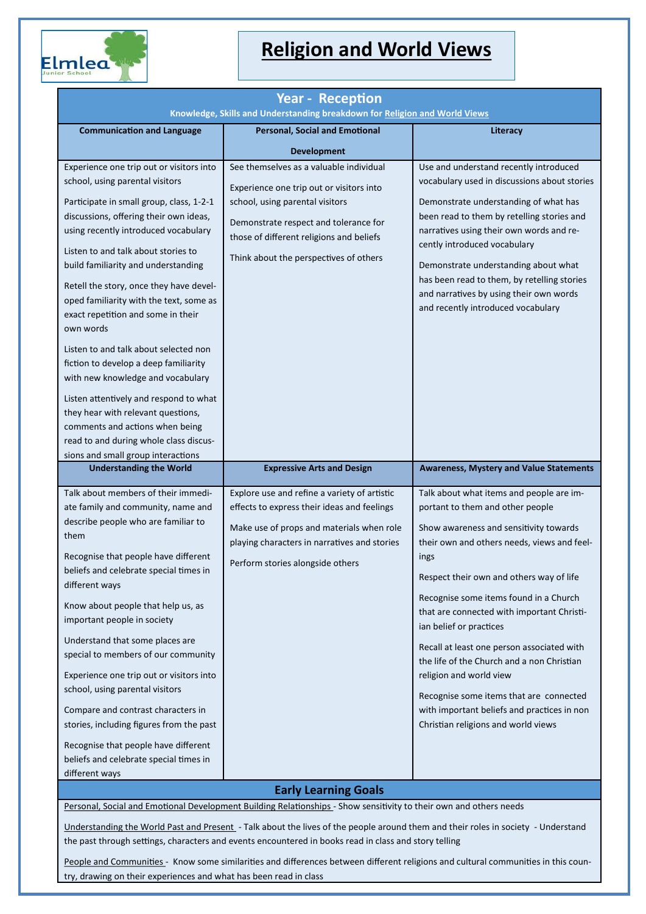

## **Religion and World Views**

| <b>Year - Reception</b><br>Knowledge, Skills and Understanding breakdown for Religion and World Views                                                                                                                                                                                                                                                                                                                                                                                                                                                                                                                                                                                                                |                                                                                                                                                                                                                                                       |                                                                                                                                                                                                                                                                                                                                                                                                                                                                                                                                                                                                      |  |
|----------------------------------------------------------------------------------------------------------------------------------------------------------------------------------------------------------------------------------------------------------------------------------------------------------------------------------------------------------------------------------------------------------------------------------------------------------------------------------------------------------------------------------------------------------------------------------------------------------------------------------------------------------------------------------------------------------------------|-------------------------------------------------------------------------------------------------------------------------------------------------------------------------------------------------------------------------------------------------------|------------------------------------------------------------------------------------------------------------------------------------------------------------------------------------------------------------------------------------------------------------------------------------------------------------------------------------------------------------------------------------------------------------------------------------------------------------------------------------------------------------------------------------------------------------------------------------------------------|--|
| <b>Communication and Language</b>                                                                                                                                                                                                                                                                                                                                                                                                                                                                                                                                                                                                                                                                                    | <b>Personal, Social and Emotional</b>                                                                                                                                                                                                                 | Literacy                                                                                                                                                                                                                                                                                                                                                                                                                                                                                                                                                                                             |  |
|                                                                                                                                                                                                                                                                                                                                                                                                                                                                                                                                                                                                                                                                                                                      | <b>Development</b>                                                                                                                                                                                                                                    |                                                                                                                                                                                                                                                                                                                                                                                                                                                                                                                                                                                                      |  |
| Experience one trip out or visitors into<br>school, using parental visitors<br>Participate in small group, class, 1-2-1<br>discussions, offering their own ideas,<br>using recently introduced vocabulary<br>Listen to and talk about stories to<br>build familiarity and understanding<br>Retell the story, once they have devel-<br>oped familiarity with the text, some as<br>exact repetition and some in their<br>own words<br>Listen to and talk about selected non<br>fiction to develop a deep familiarity<br>with new knowledge and vocabulary<br>Listen attentively and respond to what<br>they hear with relevant questions,<br>comments and actions when being<br>read to and during whole class discus- | See themselves as a valuable individual<br>Experience one trip out or visitors into<br>school, using parental visitors<br>Demonstrate respect and tolerance for<br>those of different religions and beliefs<br>Think about the perspectives of others | Use and understand recently introduced<br>vocabulary used in discussions about stories<br>Demonstrate understanding of what has<br>been read to them by retelling stories and<br>narratives using their own words and re-<br>cently introduced vocabulary<br>Demonstrate understanding about what<br>has been read to them, by retelling stories<br>and narratives by using their own words<br>and recently introduced vocabulary                                                                                                                                                                    |  |
| sions and small group interactions<br><b>Understanding the World</b>                                                                                                                                                                                                                                                                                                                                                                                                                                                                                                                                                                                                                                                 | <b>Expressive Arts and Design</b>                                                                                                                                                                                                                     | <b>Awareness, Mystery and Value Statements</b>                                                                                                                                                                                                                                                                                                                                                                                                                                                                                                                                                       |  |
| Talk about members of their immedi-<br>ate family and community, name and<br>describe people who are familiar to<br>them<br>Recognise that people have different<br>beliefs and celebrate special times in<br>different ways<br>Know about people that help us, as<br>important people in society<br>Understand that some places are<br>special to members of our community<br>Experience one trip out or visitors into<br>school, using parental visitors<br>Compare and contrast characters in<br>stories, including figures from the past<br>Recognise that people have different<br>beliefs and celebrate special times in<br>different ways                                                                     | Explore use and refine a variety of artistic<br>effects to express their ideas and feelings<br>Make use of props and materials when role<br>playing characters in narratives and stories<br>Perform stories alongside others                          | Talk about what items and people are im-<br>portant to them and other people<br>Show awareness and sensitivity towards<br>their own and others needs, views and feel-<br>ings<br>Respect their own and others way of life<br>Recognise some items found in a Church<br>that are connected with important Christi-<br>ian belief or practices<br>Recall at least one person associated with<br>the life of the Church and a non Christian<br>religion and world view<br>Recognise some items that are connected<br>with important beliefs and practices in non<br>Christian religions and world views |  |
|                                                                                                                                                                                                                                                                                                                                                                                                                                                                                                                                                                                                                                                                                                                      | <b>Early Learning Goals</b><br>Personal, Social and Emotional Development Building Relationships - Show sensitivity to their own and others needs                                                                                                     |                                                                                                                                                                                                                                                                                                                                                                                                                                                                                                                                                                                                      |  |

Understanding the World Past and Present - Talk about the lives of the people around them and their roles in society - Understand the past through settings, characters and events encountered in books read in class and story telling

People and Communities - Know some similarities and differences between different religions and cultural communities in this country, drawing on their experiences and what has been read in class